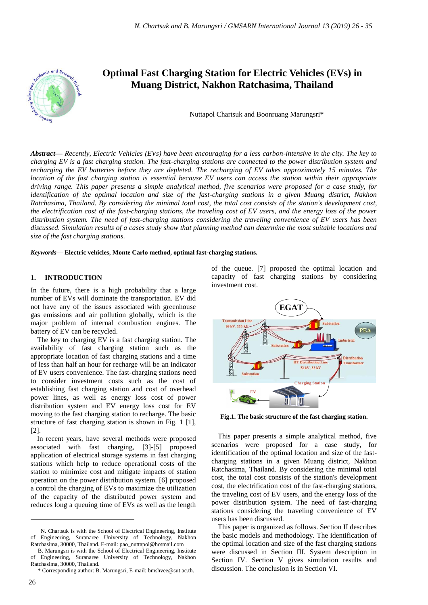

# **Optimal Fast Charging Station for Electric Vehicles (EVs) in Muang District, Nakhon Ratchasima, Thailand**

Nuttapol Chartsuk and Boonruang Marungsri\*

*Abstract***—** *Recently, Electric Vehicles (EVs) have been encouraging for a less carbon-intensive in the city. The key to charging EV is a fast charging station. The fast-charging stations are connected to the power distribution system and recharging the EV batteries before they are depleted. The recharging of EV takes approximately 15 minutes. The location of the fast charging station is essential because EV users can access the station within their appropriate driving range. This paper presents a simple analytical method, five scenarios were proposed for a case study, for identification of the optimal location and size of the fast-charging stations in a given Muang district, Nakhon Ratchasima, Thailand. By considering the minimal total cost, the total cost consists of the station's development cost, the electrification cost of the fast-charging stations, the traveling cost of EV users, and the energy loss of the power distribution system. The need of fast-charging stations considering the traveling convenience of EV users has been discussed. Simulation results of a cases study show that planning method can determine the most suitable locations and size of the fast charging stations.*

*Keywords***— Electric vehicles, Monte Carlo method, optimal fast-charging stations.**

#### **1. INTRODUCTION**

In the future, there is a high probability that a large number of EVs will dominate the transportation. EV did not have any of the issues associated with greenhouse gas emissions and air pollution globally, which is the major problem of internal combustion engines. The battery of EV can be recycled.

The key to charging EV is a fast charging station. The availability of fast charging station such as the appropriate location of fast charging stations and a time of less than half an hour for recharge will be an indicator of EV users convenience. The fast-charging stations need to consider investment costs such as the cost of establishing fast charging station and cost of overhead power lines, as well as energy loss cost of power distribution system and EV energy loss cost for EV moving to the fast charging station to recharge. The basic structure of fast charging station is shown in Fig. 1 [1], [2].

In recent years, have several methods were proposed associated with fast charging, [3]-[5] proposed application of electrical storage systems in fast charging stations which help to reduce operational costs of the station to minimize cost and mitigate impacts of station operation on the power distribution system. [6] proposed a control the charging of EVs to maximize the utilization of the capacity of the distributed power system and reduces long a queuing time of EVs as well as the length

of the queue. [7] proposed the optimal location and capacity of fast charging stations by considering investment cost.



**Fig.1. The basic structure of the fast charging station.**

This paper presents a simple analytical method, five scenarios were proposed for a case study, for identification of the optimal location and size of the fastcharging stations in a given Muang district, Nakhon Ratchasima, Thailand. By considering the minimal total cost, the total cost consists of the station's development cost, the electrification cost of the fast-charging stations, the traveling cost of EV users, and the energy loss of the power distribution system. The need of fast-charging stations considering the traveling convenience of EV users has been discussed.

 $\overline{a}$ 

N. Chartsuk is with the School of Electrical Engineering, Institute of Engineering, Suranaree University of Technology, Nakhon Ratchasima, 30000, Thailand. E-mail[: pao\\_nuttapol@hotmail.com](mailto:pao_nuttapol@hotmail.com)

B. Marungsri is with the School of Electrical Engineering, Institute of Engineering, Suranaree University of Technology, Nakhon Ratchasima, 30000, Thailand.

<sup>\*</sup> Corresponding author: B. Marungsri, E-mail: bmshvee@sut.ac.th.

This paper is organized as follows. Section II describes the basic models and methodology. The identification of the optimal location and size of the fast charging stations were discussed in Section III. System description in Section IV. Section V gives simulation results and discussion. The conclusion is in Section VI.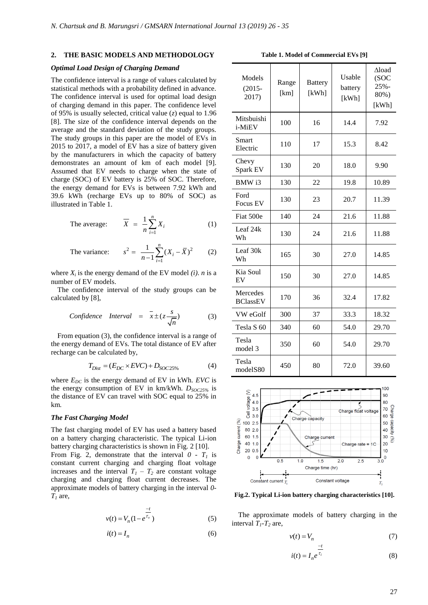# **2. THE BASIC MODELS AND METHODOLOGY**

# *Optimal Load Design of Charging Demand*

The confidence interval is a range of values calculated by statistical methods with a probability defined in advance. The confidence interval is used for optimal load design of charging demand in this paper. The confidence level of 95% is usually selected, critical value (*z*) equal to 1.96 [8]. The size of the confidence interval depends on the average and the standard deviation of the study groups. The study groups in this paper are the model of EVs in 2015 to 2017, a model of EV has a size of battery given by the manufacturers in which the capacity of battery demonstrates an amount of km of each model [9]. Assumed that EV needs to charge when the state of charge (SOC) of EV battery is 25% of SOC. Therefore, the energy demand for EVs is between 7.92 kWh and 39.6 kWh (recharge EVs up to 80% of SOC) as illustrated in Table 1.

The average: 
$$
\overline{X} = \frac{1}{n} \sum_{i=1}^{n} X_i
$$
 (1)

The variance: 
$$
s^2 = \frac{1}{n-1} \sum_{i=1}^{n} (X_i - \overline{X})^2
$$
 (2)

where  $X_i$  is the energy demand of the EV model *(i)*. *n* is a number of EV models.

The confidence interval of the study groups can be calculated by [8],

Confidence Interval = 
$$
\bar{x} \pm (z \frac{s}{\sqrt{n}})
$$
 (3)

From equation (3), the confidence interval is a range of the energy demand of EVs. The total distance of EV after recharge can be calculated by,

$$
T_{Dist} = (E_{DC} \times EVC) + D_{SOC25\%}
$$
 (4)

where  $E_{DC}$  is the energy demand of EV in kWh. *EVC* is the energy consumption of EV in km/kWh.  $D_{SOC25\%}$  is the distance of EV can travel with SOC equal to 25% in km*.*

#### *The Fast Charging Model*

The fast charging model of EV has used a battery based on a battery charging characteristic. The typical Li-ion battery charging characteristics is shown in Fig. 2 [10].

From Fig. 2, demonstrate that the interval  $0 - T_I$  is constant current charging and charging float voltage increases and the interval  $T_1 - T_2$  are constant voltage charging and charging float current decreases. The approximate models of battery charging in the interval *0-*  $T_I$  are,

$$
v(t) = V_n (1 - e^{\frac{-t}{\tau_v}})
$$
 (5)

$$
i(t) = I_n \tag{6}
$$

**Table 1. Model of Commercial EVs [9]**

| Models<br>$(2015 -$<br>2017) | Range<br>[km] | <b>Battery</b><br>[kWh] | Usable<br>battery<br>[kWh] | $\Delta$ load<br>(SOC)<br>$25% -$<br>80%)<br>[kWh] |
|------------------------------|---------------|-------------------------|----------------------------|----------------------------------------------------|
| Mitsbuishi<br>i-MiEV         | 100           | 16                      | 14.4                       | 7.92                                               |
| Smart<br>Electric            | 110           | 17                      | 15.3                       | 8.42                                               |
| Chevy<br>Spark EV            | 130           | 20                      | 18.0                       | 9.90                                               |
| BMW i3                       | 130           | 22                      | 19.8                       | 10.89                                              |
| Ford<br>Focus EV             | 130           | 23                      | 20.7                       | 11.39                                              |
| Fiat 500e                    | 140           | 24                      | 21.6                       | 11.88                                              |
| Leaf 24k<br>Wh               | 130           | 24                      | 21.6                       | 11.88                                              |
| Leaf 30k<br>Wh               | 165           | 30                      | 27.0                       | 14.85                                              |
| Kia Soul<br>EV               | 150           | 30                      | 27.0                       | 14.85                                              |
| Mercedes<br><b>BClassEV</b>  | 170           | 36                      | 32.4                       | 17.82                                              |
| VW eGolf                     | 300           | 37                      | 33.3                       | 18.32                                              |
| Tesla S <sub>60</sub>        | 340           | 60                      | 54.0                       | 29.70                                              |
| Tesla<br>model 3             | 350           | 60                      | 54.0                       | 29.70                                              |
| Tesla<br>modelS80            | 450           | 80                      | 72.0                       | 39.60                                              |



**Fig.2. Typical Li-ion battery charging characteristics [10].**

The approximate models of battery charging in the interval  $T_1$ - $T_2$  are,

*t*

 $\overline{a}$ 

$$
v(t) = V_n \tag{7}
$$

$$
i(t) = I_n e^{\overline{\tau_i}}
$$
 (8)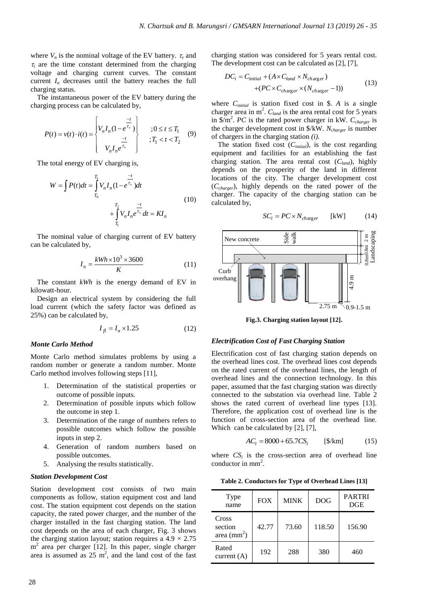where  $V_n$  is the nominal voltage of the EV battery.  $\tau_\nu$  and  $\tau$  are the time constant determined from the charging voltage and charging current curves. The constant current  $I_n$  decreases until the battery reaches the full charging status.

The instantaneous power of the EV battery during the

charging process can be calculated by,  
\n
$$
P(t) = v(t) \cdot i(t) = \begin{cases} V_n I_n (1 - e^{\frac{-t}{\tau_v}}) & ; 0 \le t \le T_1 \\ V_n I_n e^{\frac{-t}{\tau_v}} & ; T_1 < t < T_2 \end{cases}
$$
(9)

The total energy of EV charging is,

$$
W = \int P(t)dt = \int_{T_0}^{T_1} V_n I_n (1 - e^{\frac{-t}{\tau_v}})dt
$$
  
+ 
$$
\int_{T_1}^{T_2} V_n I_n e^{\frac{-t}{\tau_v}} dt = K I_n
$$
 (10)

The nominal value of charging current of EV battery can be calculated by,

$$
I_n = \frac{kWh \times 10^3 \times 3600}{K} \tag{11}
$$

The constant *kWh* is the energy demand of EV in kilowatt-hour.

Design an electrical system by considering the full load current (which the safety factor was defined as 25%) can be calculated by,

$$
I_{fl} = I_n \times 1.25\tag{12}
$$

#### *Monte Carlo Method*

Monte Carlo method simulates problems by using a random number or generate a random number. Monte Carlo method involves following steps [11],

- 1. Determination of the statistical properties or outcome of possible inputs.
- 2. Determination of possible inputs which follow the outcome in step 1.
- 3. Determination of the range of numbers refers to possible outcomes which follow the possible inputs in step 2.
- 4. Generation of random numbers based on possible outcomes.
- 5. Analysing the results statistically.

#### *Station Development Cost*

Station development cost consists of two main components as follow, station equipment cost and land cost. The station equipment cost depends on the station capacity, the rated power charger, and the number of the charger installed in the fast charging station. The land cost depends on the area of each charger, Fig. 3 shows the charging station layout; station requires a  $4.9 \times 2.75$ m<sup>2</sup> area per charger [12]. In this paper, single charger area is assumed as  $25 \text{ m}^2$ , and the land cost of the fast charging station was considered for 5 years rental cost.

The development cost can be calculated as [2], [7],  
\n
$$
DC_i = C_{initial} + (A \times C_{land} \times N_{charge}) + (PC \times C_{charge} \times (N_{charge} - 1))
$$
\n(13)

where *Cinitial* is station fixed cost in \$. *A* is a single charger area in m<sup>2</sup>.  $C_{land}$  is the area rental cost for 5 years in  $\sqrt[6]{m^2}$ . *PC* is the rated power charger in kW.  $C_{charge}$  is the charger development cost in \$/kW. *Ncharger* is number of chargers in the charging station *(i)*.

The station fixed cost (*Cinitial*), is the cost regarding equipment and facilities for an establishing the fast charging station. The area rental cost (*Cland*), highly depends on the prosperity of the land in different locations of the city. The charger development cost (*Ccharger*), highly depends on the rated power of the charger. The capacity of the charging station can be calculated by,

$$
SC_i = PC \times N_{charge} \qquad [kW] \tag{14}
$$



**Fig.3. Charging station layout [12].**

#### *Electrification Cost of Fast Charging Station*

Electrification cost of fast charging station depends on the overhead lines cost. The overhead lines cost depends on the rated current of the overhead lines, the length of overhead lines and the connection technology. In this paper, assumed that the fast charging station was directly connected to the substation via overhead line. Table 2 shows the rated current of overhead line types [13]. Therefore, the application cost of overhead line is the function of cross-section area of the overhead line. Which can be calculated by [2], [7],

$$
AC_i = 8000 + 65.7CS_i \qquad [\$/km] \qquad (15)
$$

where  $CS_i$  is the cross-section area of overhead line conductor in mm<sup>2</sup>.

|  | Table 2. Conductors for Type of Overhead Lines [13] |  |
|--|-----------------------------------------------------|--|
|--|-----------------------------------------------------|--|

| Type<br>name                             | <b>FOX</b> | <b>MINK</b> | <b>DOG</b> | <b>PARTRI</b><br>DGE |
|------------------------------------------|------------|-------------|------------|----------------------|
| Cross<br>section<br>area $\text{(mm}^2)$ | 42.77      | 73.60       | 118.50     | 156.90               |
| Rated<br>current $(A)$                   | 192        | 288         | 380        | 460                  |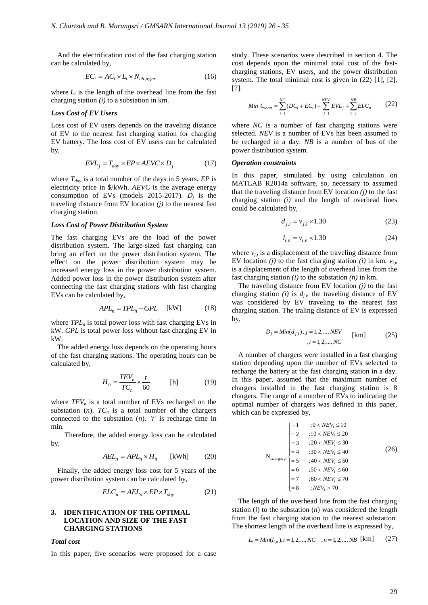And the electrification cost of the fast charging station can be calculated by,

$$
EC_i = AC_i \times L_i \times N_{charge}
$$
 (16)

where  $L_i$  is the length of the overhead line from the fast charging station *(i)* to a substation in km.

# *Loss Cost of EV Users*

Loss cost of EV users depends on the traveling distance of EV to the nearest fast charging station for charging EV battery. The loss cost of EV users can be calculated by,

$$
EVL_j = T_{day} \times EP \times AEVC \times D_j \tag{17}
$$

where *Tday* is a total number of the days in 5 years. *EP* is electricity price in \$/kWh. *AEVC* is the average energy consumption of EVs (models 2015-2017).  $D_j$  is the traveling distance from EV location *(j)* to the nearest fast charging station.

#### *Loss Cost of Power Distribution System*

The fast charging EVs are the load of the power distribution system. The large-sized fast charging can bring an effect on the power distribution system. The effect on the power distribution system may be increased energy loss in the power distribution system. Added power loss in the power distribution system after connecting the fast charging stations with fast charging EVs can be calculated by,

$$
APL_n = TPL_n - GPL \quad \text{[kW]} \tag{18}
$$

where *TPL<sub>n</sub>* is total power loss with fast charging EVs in kW. *GPL* is total power loss without fast charging EV in kW.

The added energy loss depends on the operating hours of the fast charging stations. The operating hours can be calculated by,

$$
H_n = \frac{TEV_n}{TC_n} \times \frac{t}{60} \quad \text{[h]} \quad (19)
$$

where  $TEV_n$  is a total number of EVs recharged on the substation  $(n)$ .  $TC_n$  is a total number of the chargers connected to the substation (*n*). *'t'* is recharge time in min.

 Therefore, the added energy loss can be calculated by,

$$
AEL_n = APL_n \times H_n \qquad [\text{kWh}] \tag{20}
$$

Finally, the added energy loss cost for 5 years of the power distribution system can be calculated by,

$$
ELC_n = AEL_n \times EP \times T_{day}
$$
 (21)

# **3. IDENTIFICATION OF THE OPTIMAL LOCATION AND SIZE OF THE FAST CHARGING STATIONS**

#### *Total cost*

In this paper, five scenarios were proposed for a case

study. These scenarios were described in section 4. The cost depends upon the minimal total cost of the fastcharging stations, EV users, and the power distribution system. The total minimal cost is given in (22) [1], [2], [7].

Min 
$$
C_{total} = \sum_{i=1}^{NC} (DC_i + EC_i) + \sum_{j=1}^{NEV} EVL_j + \sum_{n=1}^{NB} ELC_n
$$
 (22)

where *NC* is a number of fast charging stations were selected. *NEV* is a number of EVs has been assumed to be recharged in a day. *NB* is a number of bus of the power distribution system.

# *Operation constraints*

In this paper, simulated by using calculation on MATLAB R2014a software, so, necessary to assumed that the traveling distance from EV location  $(j)$  to the fast charging station *(i)* and the length of overhead lines could be calculated by,

$$
d_{j,i} = v_{j,i} \times 1.30\tag{23}
$$

$$
l_{i,n} = v_{i,n} \times 1.30
$$
 (24)

where  $v_{i,i}$  is a displacement of the traveling distance from EV location *(j)* to the fast charging station *(i)* in km.  $v_{in}$ is a displacement of the length of overhead lines from the fast charging station *(i)* to the substation *(n)* in km.

The traveling distance from EV location *(j)* to the fast charging station *(i)* is  $d_{j,i}$ , the traveling distance of EV was considered by EV traveling to the nearest fast charging station. The traling distance of EV is expressed by,

$$
D_j = Min(d_{j,i}), j = 1, 2, ..., NEV
$$
 [km] (25)  
,  $i = 1, 2, ..., NC$ 

A number of chargers were installed in a fast charging station depending upon the number of EVs selected to recharge the battery at the fast charging station in a day. In this paper, assumed that the maximum number of chargers installed in the fast charging station is 8 chargers. The range of a number of EVs to indicating the optimal number of chargers was defined in this paper, which can be expressed by,

$$
N_{chargeri} = \begin{cases}\n= 1 & ; 0 < NEV_i \le 10 \\
= 2 & ; 10 < NEV_i \le 20 \\
= 3 & ; 20 < NEV_i \le 30 \\
= 4 & ; 30 < NEV_i \le 40 \\
= 5 & ; 40 < NEV_i \le 50 \\
= 6 & ; 50 < NEV_i \le 60 \\
= 7 & ; 60 < NEV_i \le 70 \\
= 8 & ; NEV_i > 70\n\end{cases} \tag{26}
$$

The length of the overhead line from the fast charging station (*i*) to the substation (*n*) was considered the length from the fast charging station to the nearest substation. The shortest length of the overhead line is expressed by,

$$
L_i = Min(l_{i,n}), i = 1, 2, ..., NC, n = 1, 2, ..., NB
$$
 [km] (27)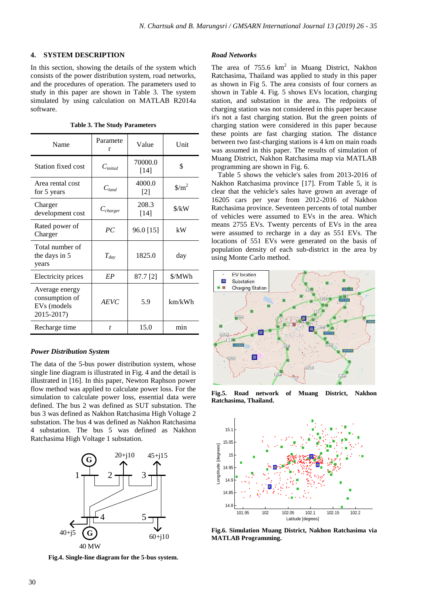# **4. SYSTEM DESCRIPTION**

In this section, showing the details of the system which consists of the power distribution system, road networks, and the procedures of operation. The parameters used to study in this paper are shown in Table 3. The system simulated by using calculation on MATLAB R2014a software.

|  |  | <b>Table 3. The Study Parameters</b> |
|--|--|--------------------------------------|
|--|--|--------------------------------------|

| Name                                                          | Paramete<br>r    | Value             | Unit                            |
|---------------------------------------------------------------|------------------|-------------------|---------------------------------|
| Station fixed cost                                            | $C_{initial}$    | 70000.0<br>$[14]$ | \$                              |
| Area rental cost<br>for 5 years                               | $C_{land}$       | 4000.0<br>$[2]$   | $\frac{\text{m}^2}{\text{m}^2}$ |
| Charger<br>development cost                                   | $C_{charge}$     | 208.3<br>$[14]$   | $\frac{\text{S}}{\text{K}}$ W   |
| Rated power of<br>Charger                                     | PC               | 96.0 [15]         | kW                              |
| Total number of<br>the days in 5<br>years                     | $T_{\text{day}}$ | 1825.0            | day                             |
| Electricity prices                                            | EP               | 87.7 [2]          | \$/MWh                          |
| Average energy<br>consumption of<br>EVs (models<br>2015-2017) | <b>AEVC</b>      | 5.9               | km/kWh                          |
| Recharge time                                                 | t.               | 15.0              | min                             |

# *Power Distribution System*

The data of the 5-bus power distribution system, whose single line diagram is illustrated in Fig. 4 and the detail is illustrated in [16]. In this paper, Newton Raphson power flow method was applied to calculate power loss. For the simulation to calculate power loss, essential data were defined. The bus 2 was defined as SUT substation. The bus 3 was defined as Nakhon Ratchasima High Voltage 2 substation. The bus 4 was defined as Nakhon Ratchasima 4 substation. The bus 5 was defined as Nakhon Ratchasima High Voltage 1 substation.



**Fig.4. Single-line diagram for the 5-bus system.**

#### *Road Networks*

The area of  $755.6 \text{ km}^2$  in Muang District, Nakhon Ratchasima, Thailand was applied to study in this paper as shown in Fig 5. The area consists of four corners as shown in Table 4. Fig. 5 shows EVs location, charging station, and substation in the area. The redpoints of charging station was not considered in this paper because it's not a fast charging station. But the green points of charging station were considered in this paper because these points are fast charging station. The distance between two fast-charging stations is 4 km on main roads was assumed in this paper. The results of simulation of Muang District, Nakhon Ratchasima map via MATLAB programming are shown in Fig. 6.

Table 5 shows the vehicle's sales from 2013-2016 of Nakhon Ratchasima province [17]. From Table 5, it is clear that the vehicle's sales have grown an average of 16205 cars per year from 2012-2016 of Nakhon Ratchasima province. Seventeen percents of total number of vehicles were assumed to EVs in the area. Which means 2755 EVs. Twenty percents of EVs in the area were assumed to recharge in a day as 551 EVs. The locations of 551 EVs were generated on the basis of population density of each sub-district in the area by using Monte Carlo method.



**Fig.5. Road network of Muang District, Nakhon Ratchasima, Thailand.**



**Fig.6. Simulation Muang District, Nakhon Ratchasima via MATLAB Programming.**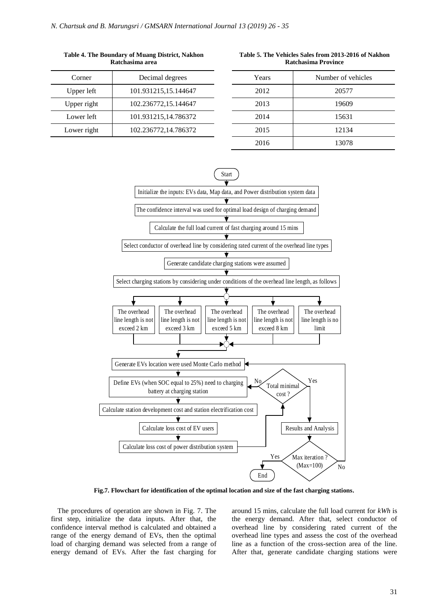| Corner      | Decimal degrees      |
|-------------|----------------------|
| Upper left  | 101.931215,15.144647 |
| Upper right | 102.236772,15.144647 |
| Lower left  | 101.931215,14.786372 |
| Lower right | 102.236772,14.786372 |
|             |                      |

**Table 4. The Boundary of Muang District, Nakhon Ratchasima area Table 5. The Vehicles Sales from 2013-2016 of Nakhon Ratchasima Province**

| Years | Number of vehicles |
|-------|--------------------|
| 2012  | 20577              |
| 2013  | 19609              |
| 2014  | 15631              |
| 2015  | 12134              |
| 2016  | 13078              |



**Fig.7. Flowchart for identification of the optimal location and size of the fast charging stations.**

The procedures of operation are shown in Fig. 7. The first step, initialize the data inputs. After that, the confidence interval method is calculated and obtained a range of the energy demand of EVs, then the optimal load of charging demand was selected from a range of energy demand of EVs. After the fast charging for

around 15 mins, calculate the full load current for *kWh* is the energy demand. After that, select conductor of overhead line by considering rated current of the overhead line types and assess the cost of the overhead line as a function of the cross-section area of the line. After that, generate candidate charging stations were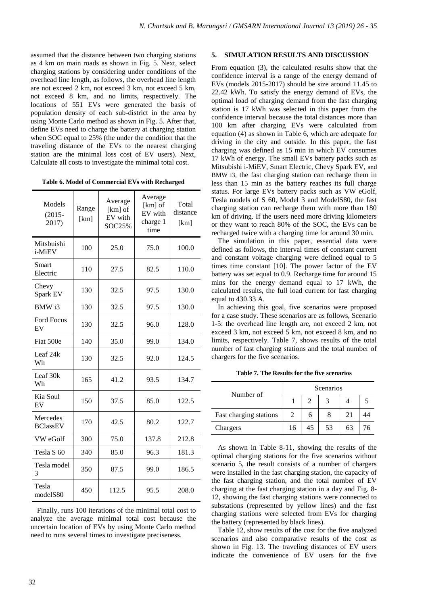assumed that the distance between two charging stations as 4 km on main roads as shown in Fig. 5. Next, select charging stations by considering under conditions of the overhead line length, as follows, the overhead line length are not exceed 2 km, not exceed 3 km, not exceed 5 km, not exceed 8 km, and no limits, respectively. The locations of 551 EVs were generated the basis of population density of each sub-district in the area by using Monte Carlo method as shown in Fig. 5. After that, define EVs need to charge the battery at charging station when SOC equal to 25% (the under the condition that the traveling distance of the EVs to the nearest charging station are the minimal loss cost of EV users). Next, Calculate all costs to investigate the minimal total cost.

**Table 6. Model of Commercial EVs with Recharged**

| Models<br>$(2015 -$<br>2017)       | Range<br>[km] | Average<br>[km] of<br>EV with<br><b>SOC25%</b> | Average<br>[km] of<br>EV with<br>charge 1<br>time | Total<br>distance<br>[km] |
|------------------------------------|---------------|------------------------------------------------|---------------------------------------------------|---------------------------|
| Mitsbuishi<br>i-MiEV               | 100           | 25.0                                           | 75.0                                              | 100.0                     |
| Smart<br>Electric                  | 110           | 27.5                                           | 82.5                                              | 110.0                     |
| Chevy<br>Spark EV                  | 130           | 32.5                                           | 97.5                                              | 130.0                     |
| BMW i3                             | 130           | 32.5                                           | 97.5                                              | 130.0                     |
| <b>Ford Focus</b><br>EV            | 130           | 32.5                                           | 96.0                                              | 128.0                     |
| Fiat 500e                          | 140           | 35.0                                           | 99.0                                              | 134.0                     |
| Leaf 24k<br>Wh                     | 130           | 32.5                                           | 92.0                                              | 124.5                     |
| Leaf 30k<br>Wh                     | 165           | 41.2                                           | 93.5                                              | 134.7                     |
| Kia Soul<br>EV                     | 150           | 37.5                                           | 85.0                                              | 122.5                     |
| <b>Mercedes</b><br><b>BClassEV</b> | 170           | 42.5                                           | 80.2                                              | 122.7                     |
| VW eGolf                           | 300           | 75.0                                           | 137.8                                             | 212.8                     |
| Tesla S <sub>60</sub>              | 340           | 85.0                                           | 96.3                                              | 181.3                     |
| Tesla model<br>3                   | 350           | 87.5                                           | 99.0                                              | 186.5                     |
| Tesla<br>modelS80                  | 450           | 112.5                                          | 95.5                                              | 208.0                     |

Finally, runs 100 iterations of the minimal total cost to analyze the average minimal total cost because the uncertain location of EVs by using Monte Carlo method need to runs several times to investigate preciseness.

# **5. SIMULATION RESULTS AND DISCUSSION**

From equation (3), the calculated results show that the confidence interval is a range of the energy demand of EVs (models 2015-2017) should be size around 11.45 to 22.42 kWh. To satisfy the energy demand of EVs, the optimal load of charging demand from the fast charging station is 17 kWh was selected in this paper from the confidence interval because the total distances more than 100 km after charging EVs were calculated from equation (4) as shown in Table 6, which are adequate for driving in the city and outside. In this paper, the fast charging was defined as 15 min in which EV consumes 17 kWh of energy. The small EVs battery packs such as Mitsubishi i-MiEV, Smart Electric, Chevy Spark EV, and BMW i3, the fast charging station can recharge them in less than 15 min as the battery reaches its full charge status. For large EVs battery packs such as VW eGolf, Tesla models of S 60, Model 3 and ModelS80, the fast charging station can recharge them with more than 180 km of driving. If the users need more driving kilometers or they want to reach 80% of the SOC, the EVs can be recharged twice with a charging time for around 30 min.

The simulation in this paper, essential data were defined as follows, the interval times of constant current and constant voltage charging were defined equal to 5 times time constant [10]. The power factor of the EV battery was set equal to 0.9. Recharge time for around 15 mins for the energy demand equal to 17 kWh, the calculated results, the full load current for fast charging equal to 430.33 A.

In achieving this goal, five scenarios were proposed for a case study. These scenarios are as follows, Scenario 1-5: the overhead line length are, not exceed 2 km, not exceed 3 km, not exceed 5 km, not exceed 8 km, and no limits, respectively. Table 7, shows results of the total number of fast charging stations and the total number of chargers for the five scenarios.

**Table 7. The Results for the five scenarios**

| Number of              | Scenarios |   |    |    |  |
|------------------------|-----------|---|----|----|--|
|                        |           |   |    |    |  |
| Fast charging stations |           | n | 8  | 21 |  |
| Chargers               | 16        |   | 53 |    |  |

As shown in Table 8-11, showing the results of the optimal charging stations for the five scenarios without scenario 5, the result consists of a number of chargers were installed in the fast charging station, the capacity of the fast charging station, and the total number of EV charging at the fast charging station in a day and Fig. 8- 12, showing the fast charging stations were connected to substations (represented by yellow lines) and the fast charging stations were selected from EVs for charging the battery (represented by black lines).

Table 12, show results of the cost for the five analyzed scenarios and also comparative results of the cost as shown in Fig. 13. The traveling distances of EV users indicate the convenience of EV users for the five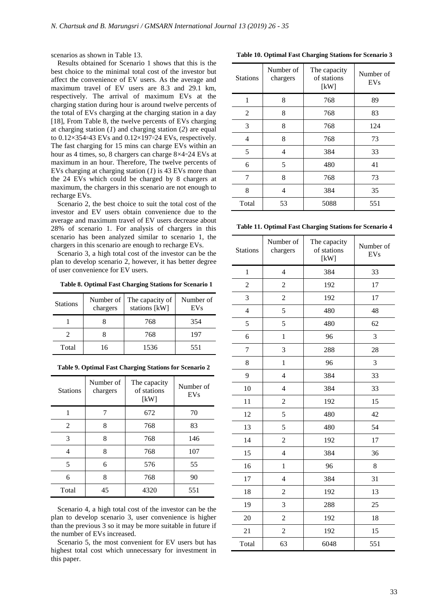scenarios as shown in Table 13.

Results obtained for Scenario 1 shows that this is the best choice to the minimal total cost of the investor but affect the convenience of EV users. As the average and maximum travel of EV users are 8.3 and 29.1 km, respectively. The arrival of maximum EVs at the charging station during hour is around twelve percents of the total of EVs charging at the charging station in a day [18], From Table 8, the twelve percents of EVs charging at charging station (*1*) and charging station (*2*) are equal to  $0.12 \times 354 = 43$  EVs and  $0.12 \times 197 = 24$  EVs, respectively. The fast charging for 15 mins can charge EVs within an hour as 4 times, so, 8 chargers can charge  $8\times4=24$  EVs at maximum in an hour. Therefore, The twelve percents of EVs charging at charging station (*1*) is 43 EVs more than the 24 EVs which could be charged by 8 chargers at maximum, the chargers in this scenario are not enough to recharge EVs.

Scenario 2, the best choice to suit the total cost of the investor and EV users obtain convenience due to the average and maximum travel of EV users decrease about 28% of scenario 1. For analysis of chargers in this scenario has been analyzed similar to scenario 1, the chargers in this scenario are enough to recharge EVs.

Scenario 3, a high total cost of the investor can be the plan to develop scenario 2, however, it has better degree of user convenience for EV users.

 **Table 8. Optimal Fast Charging Stations for Scenario 1**

| <b>Stations</b> | Number of<br>chargers | The capacity of<br>stations [kW] | Number of<br><b>EVs</b> |
|-----------------|-----------------------|----------------------------------|-------------------------|
|                 |                       | 768                              | 354                     |
|                 |                       | 768                              | 197                     |
| Total           | 16                    | 1536                             | 551                     |

**Table 9. Optimal Fast Charging Stations for Scenario 2**

| <b>Stations</b> | Number of<br>chargers | The capacity<br>of stations<br>[kW] | Number of<br><b>EVs</b> |
|-----------------|-----------------------|-------------------------------------|-------------------------|
|                 |                       | 672                                 | 70                      |
| 2               | 8                     | 768                                 | 83                      |
| 3               | 8                     | 768                                 | 146                     |
| 4               | 8                     | 768                                 | 107                     |
| 5               | 6                     | 576                                 | 55                      |
| 6               | 8                     | 768                                 | 90                      |
| Total           | 45                    | 4320                                | 551                     |

Scenario 4, a high total cost of the investor can be the plan to develop scenario 3, user convenience is higher than the previous 3 so it may be more suitable in future if the number of EVs increased.

Scenario 5, the most convenient for EV users but has highest total cost which unnecessary for investment in this paper.

**Table 10. Optimal Fast Charging Stations for Scenario 3**

| <b>Stations</b> | Number of<br>chargers | The capacity<br>of stations<br>[kW] | Number of<br>EVs |
|-----------------|-----------------------|-------------------------------------|------------------|
| 1               | 8                     | 768                                 | 89               |
| 2               | 8                     | 768                                 | 83               |
| 3               | 8                     | 768                                 | 124              |
| $\overline{4}$  | 8                     | 768                                 | 73               |
| 5               | 4                     | 384                                 | 33               |
| 6               | 5                     | 480                                 | 41               |
| 7               | 8                     | 768                                 | 73               |
| 8               | 4                     | 384                                 | 35               |
| Total           | 53                    | 5088                                | 551              |

**Table 11. Optimal Fast Charging Stations for Scenario 4**

| <b>Stations</b> | Number of<br>chargers | The capacity<br>of stations<br>[kW] | Number of<br><b>EVs</b> |  |
|-----------------|-----------------------|-------------------------------------|-------------------------|--|
| $\mathbf{1}$    | $\overline{4}$        | 384                                 | 33                      |  |
| $\overline{c}$  | $\overline{c}$        | 192                                 | 17                      |  |
| 3               | $\overline{2}$        | 192                                 | 17                      |  |
| $\overline{4}$  | 5                     | 480                                 | 48                      |  |
| 5               | 5                     | 480                                 | 62                      |  |
| 6               | $\mathbf{1}$          | 96                                  | 3                       |  |
| $\overline{7}$  | 3                     | 288                                 | 28                      |  |
| 8               | $\mathbf{1}$          | 96                                  | 3                       |  |
| 9               | $\overline{4}$        | 384                                 | 33                      |  |
| 10              | $\overline{4}$        | 384                                 | 33                      |  |
| 11              | $\overline{c}$        | 192                                 | 15                      |  |
| 12              | 5                     | 480                                 | 42                      |  |
| 13              | 5                     | 480                                 | 54                      |  |
| 14              | $\overline{c}$        | 192                                 | 17                      |  |
| 15              | $\overline{4}$        | 384                                 | 36                      |  |
| 16              | $\mathbf{1}$          | 96                                  | 8                       |  |
| 17              | $\overline{4}$        | 384                                 | 31                      |  |
| 18              | $\overline{2}$        | 192                                 | 13                      |  |
| 19              | 3                     | 288                                 | 25                      |  |
| 20              | $\overline{c}$        | 192<br>18                           |                         |  |
| 21              | $\overline{2}$        | 192<br>15                           |                         |  |
| Total           | 63                    | 6048                                | 551                     |  |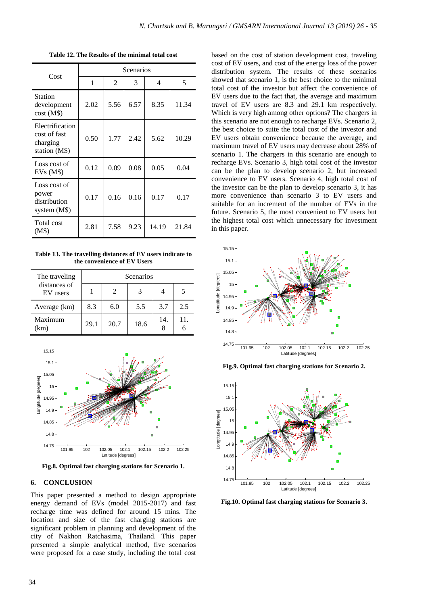| Cost                                                         | Scenarios |      |      |       |       |  |
|--------------------------------------------------------------|-----------|------|------|-------|-------|--|
|                                                              | 1         | 2    | 3    | 4     | 5     |  |
| <b>Station</b><br>development<br>cost(M\$)                   | 2.02      | 5.56 | 6.57 | 8.35  | 11.34 |  |
| Electrification<br>cost of fast<br>charging<br>station (M\$) | 0.50      | 1.77 | 2.42 | 5.62  | 10.29 |  |
| Loss cost of<br>EVs(M\$)                                     | 0.12      | 0.09 | 0.08 | 0.05  | 0.04  |  |
| Loss cost of<br>power<br>distribution<br>system $(M$)$       | 0.17      | 0.16 | 0.16 | 0.17  | 0.17  |  |
| Total cost<br>(M\$)                                          | 2.81      | 7.58 | 9.23 | 14.19 | 21.84 |  |

**Table 12. The Results of the minimal total cost**

**Table 13. The travelling distances of EV users indicate to the convenience of EV Users** 

| The traveling            | Scenarios |      |      |     |     |  |
|--------------------------|-----------|------|------|-----|-----|--|
| distances of<br>EV users |           | 2    | 3    |     |     |  |
| Average (km)             | 8.3       | 6.0  | 5.5  | 3.7 | 2.5 |  |
| Maximum<br>(km)          | 29.1      | 20.7 | 18.6 | 14. | 11. |  |



**Fig.8. Optimal fast charging stations for Scenario 1.**

# **6. CONCLUSION**

This paper presented a method to design appropriate energy demand of EVs (model 2015-2017) and fast recharge time was defined for around 15 mins. The location and size of the fast charging stations are significant problem in planning and development of the city of Nakhon Ratchasima, Thailand. This paper presented a simple analytical method, five scenarios were proposed for a case study, including the total cost based on the cost of station development cost, traveling cost of EV users, and cost of the energy loss of the power distribution system. The results of these scenarios showed that scenario 1, is the best choice to the minimal total cost of the investor but affect the convenience of EV users due to the fact that, the average and maximum travel of EV users are 8.3 and 29.1 km respectively. Which is very high among other options? The chargers in this scenario are not enough to recharge EVs. Scenario 2, the best choice to suite the total cost of the investor and EV users obtain convenience because the average, and maximum travel of EV users may decrease about 28% of scenario 1. The chargers in this scenario are enough to recharge EVs. Scenario 3, high total cost of the investor can be the plan to develop scenario 2, but increased convenience to EV users. Scenario 4, high total cost of the investor can be the plan to develop scenario 3, it has more convenience than scenario 3 to EV users and suitable for an increment of the number of EVs in the future. Scenario 5, the most convenient to EV users but the highest total cost which unnecessary for investment in this paper.



**Fig.9. Optimal fast charging stations for Scenario 2.**



**Fig.10. Optimal fast charging stations for Scenario 3.**